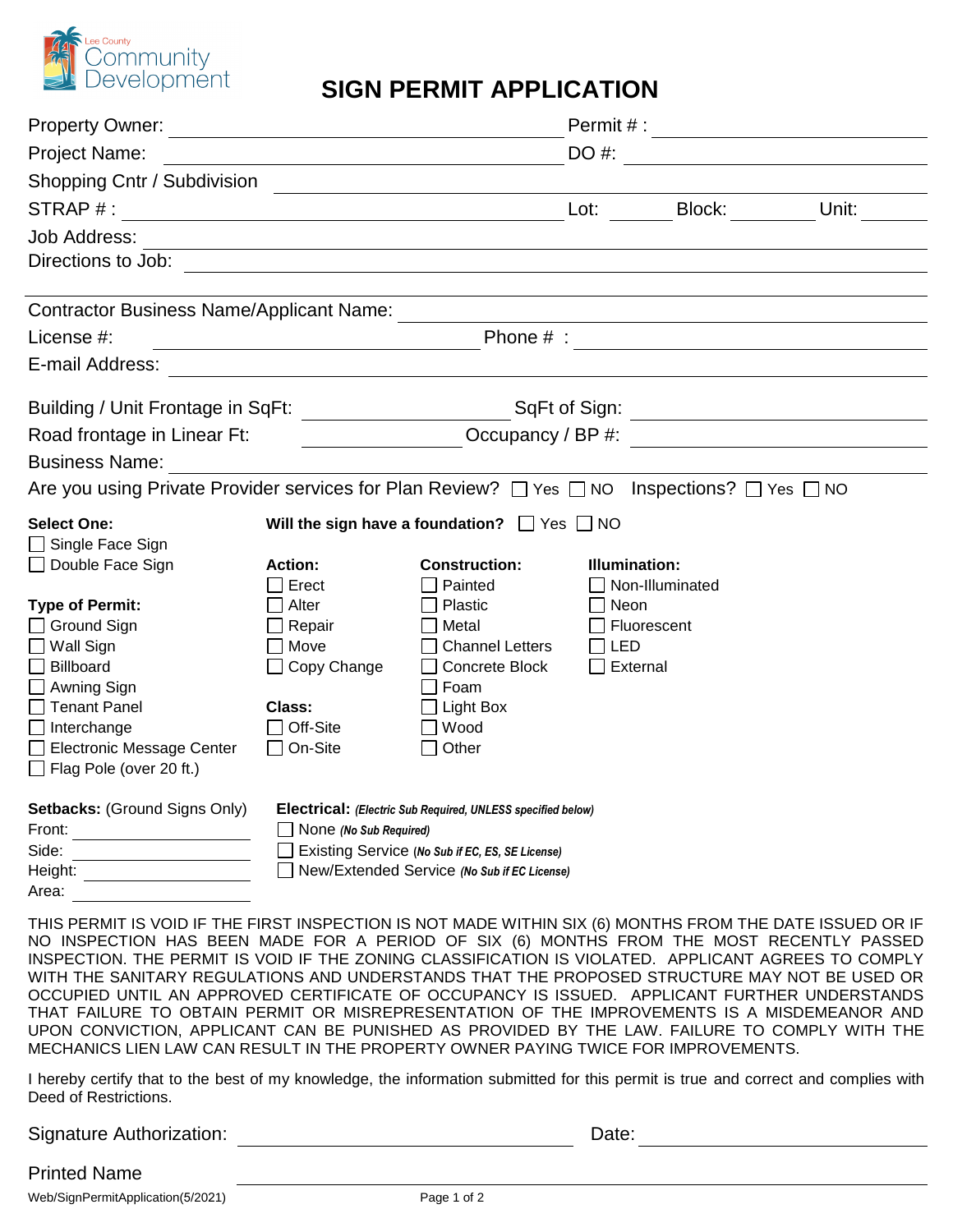

## **SIGN PERMIT APPLICATION**

| Property Owner: <u>_____________________________</u>                                                 |                                                                                                                      |                                                                    | Permit # : <u>____________________</u> |                   |       |  |
|------------------------------------------------------------------------------------------------------|----------------------------------------------------------------------------------------------------------------------|--------------------------------------------------------------------|----------------------------------------|-------------------|-------|--|
| <b>Project Name:</b>                                                                                 |                                                                                                                      |                                                                    | DO #:                                  |                   |       |  |
| Shopping Cntr / Subdivision                                                                          |                                                                                                                      |                                                                    |                                        |                   |       |  |
|                                                                                                      |                                                                                                                      |                                                                    | Lot:                                   | Block:            | Unit: |  |
| <b>Job Address:</b>                                                                                  |                                                                                                                      |                                                                    |                                        |                   |       |  |
| Directions to Job:                                                                                   |                                                                                                                      |                                                                    |                                        |                   |       |  |
| <b>Contractor Business Name/Applicant Name:</b>                                                      |                                                                                                                      |                                                                    |                                        |                   |       |  |
| License #:                                                                                           | <u> 1980 - Johann Barn, mars ann an t-Amhain Aonaich an t-Aonaich an t-Aonaich ann an t-Aonaich ann an t-Aonaich</u> |                                                                    |                                        |                   |       |  |
| E-mail Address:                                                                                      |                                                                                                                      |                                                                    |                                        |                   |       |  |
| Building / Unit Frontage in SqFt: __________________________SqFt of Sign: __________________________ |                                                                                                                      |                                                                    |                                        |                   |       |  |
| Road frontage in Linear Ft:<br><u> The Communication of the Communication</u>                        |                                                                                                                      |                                                                    |                                        | Occupancy / BP #: |       |  |
| <b>Business Name:</b>                                                                                |                                                                                                                      |                                                                    |                                        |                   |       |  |
| Are you using Private Provider services for Plan Review? □ Yes □ NO Inspections? □ Yes □ NO          |                                                                                                                      |                                                                    |                                        |                   |       |  |
| <b>Select One:</b><br>$\Box$ Single Face Sign                                                        |                                                                                                                      | Will the sign have a foundation? $\Box$ Yes $\Box$ NO              |                                        |                   |       |  |
| Double Face Sign                                                                                     | <b>Action:</b>                                                                                                       | <b>Construction:</b>                                               | Illumination:                          |                   |       |  |
|                                                                                                      | Erect                                                                                                                | Painted                                                            |                                        | Non-Illuminated   |       |  |
| <b>Type of Permit:</b>                                                                               | Alter                                                                                                                | Plastic                                                            | Neon                                   |                   |       |  |
| $\Box$ Ground Sign                                                                                   | Repair                                                                                                               | Metal                                                              |                                        | Fluorescent       |       |  |
| $\Box$ Wall Sign                                                                                     | $\Box$ Move                                                                                                          | <b>Channel Letters</b>                                             | LED                                    |                   |       |  |
| $\Box$ Billboard                                                                                     | $\Box$ Copy Change                                                                                                   | Concrete Block                                                     | External                               |                   |       |  |
| □ Awning Sign<br>$\Box$ Tenant Panel                                                                 | <b>Class:</b>                                                                                                        | Foam<br>Light Box                                                  |                                        |                   |       |  |
| $\Box$ Interchange                                                                                   | Off-Site                                                                                                             | Wood                                                               |                                        |                   |       |  |
| Electronic Message Center                                                                            | On-Site                                                                                                              | Other                                                              |                                        |                   |       |  |
| $\Box$ Flag Pole (over 20 ft.)                                                                       |                                                                                                                      |                                                                    |                                        |                   |       |  |
| <b>Setbacks: (Ground Signs Only)</b>                                                                 |                                                                                                                      | <b>Electrical:</b> (Electric Sub Required, UNLESS specified below) |                                        |                   |       |  |
| Front:                                                                                               | None (No Sub Required)                                                                                               |                                                                    |                                        |                   |       |  |
| Side:                                                                                                | Existing Service (No Sub if EC, ES, SE License)                                                                      |                                                                    |                                        |                   |       |  |
| Height:                                                                                              |                                                                                                                      | New/Extended Service (No Sub if EC License)                        |                                        |                   |       |  |
| Area:                                                                                                |                                                                                                                      |                                                                    |                                        |                   |       |  |

THIS PERMIT IS VOID IF THE FIRST INSPECTION IS NOT MADE WITHIN SIX (6) MONTHS FROM THE DATE ISSUED OR IF NO INSPECTION HAS BEEN MADE FOR A PERIOD OF SIX (6) MONTHS FROM THE MOST RECENTLY PASSED INSPECTION. THE PERMIT IS VOID IF THE ZONING CLASSIFICATION IS VIOLATED. APPLICANT AGREES TO COMPLY WITH THE SANITARY REGULATIONS AND UNDERSTANDS THAT THE PROPOSED STRUCTURE MAY NOT BE USED OR OCCUPIED UNTIL AN APPROVED CERTIFICATE OF OCCUPANCY IS ISSUED. APPLICANT FURTHER UNDERSTANDS THAT FAILURE TO OBTAIN PERMIT OR MISREPRESENTATION OF THE IMPROVEMENTS IS A MISDEMEANOR AND UPON CONVICTION, APPLICANT CAN BE PUNISHED AS PROVIDED BY THE LAW. FAILURE TO COMPLY WITH THE MECHANICS LIEN LAW CAN RESULT IN THE PROPERTY OWNER PAYING TWICE FOR IMPROVEMENTS.

I hereby certify that to the best of my knowledge, the information submitted for this permit is true and correct and complies with Deed of Restrictions.

Signature Authorization: University of Date: Date:

## Printed Name